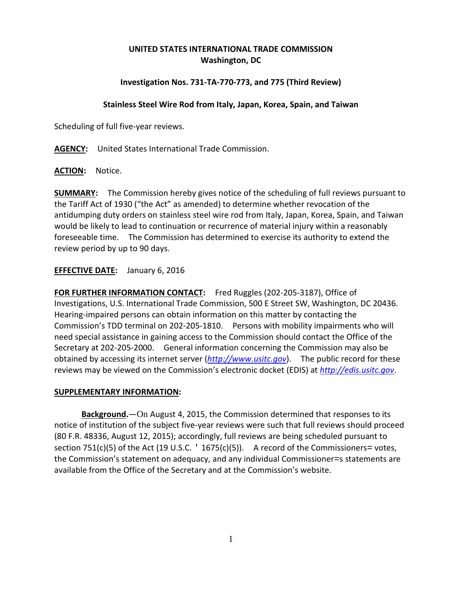# **UNITED STATES INTERNATIONAL TRADE COMMISSION Washington, DC**

## **Investigation Nos. 731-TA-770-773, and 775 (Third Review)**

### **Stainless Steel Wire Rod from Italy, Japan, Korea, Spain, and Taiwan**

Scheduling of full five-year reviews.

**AGENCY:** United States International Trade Commission.

**ACTION:** Notice.

**SUMMARY:** The Commission hereby gives notice of the scheduling of full reviews pursuant to the Tariff Act of 1930 ("the Act" as amended) to determine whether revocation of the antidumping duty orders on stainless steel wire rod from Italy, Japan, Korea, Spain, and Taiwan would be likely to lead to continuation or recurrence of material injury within a reasonably foreseeable time. The Commission has determined to exercise its authority to extend the review period by up to 90 days.

### **EFFECTIVE DATE:** January 6, 2016

**FOR FURTHER INFORMATION CONTACT:** Fred Ruggles (202-205-3187), Office of Investigations, U.S. International Trade Commission, 500 E Street SW, Washington, DC 20436. Hearing-impaired persons can obtain information on this matter by contacting the Commission's TDD terminal on 202-205-1810. Persons with mobility impairments who will need special assistance in gaining access to the Commission should contact the Office of the Secretary at 202-205-2000. General information concerning the Commission may also be obtained by accessing its internet server (*[http://www.usitc.gov](http://www.usitc.gov/)*). The public record for these reviews may be viewed on the Commission's electronic docket (EDIS) at *[http://edis.usitc.gov](http://edis.usitc.gov/)*.

#### **SUPPLEMENTARY INFORMATION:**

**Background.**—On August 4, 2015, the Commission determined that responses to its notice of institution of the subject five-year reviews were such that full reviews should proceed (80 F.R. 48336, August 12, 2015); accordingly, full reviews are being scheduled pursuant to section 751(c)(5) of the Act (19 U.S.C.  $\lceil$  1675(c)(5)). A record of the Commissioners= votes, the Commission's statement on adequacy, and any individual Commissioner=s statements are available from the Office of the Secretary and at the Commission's website.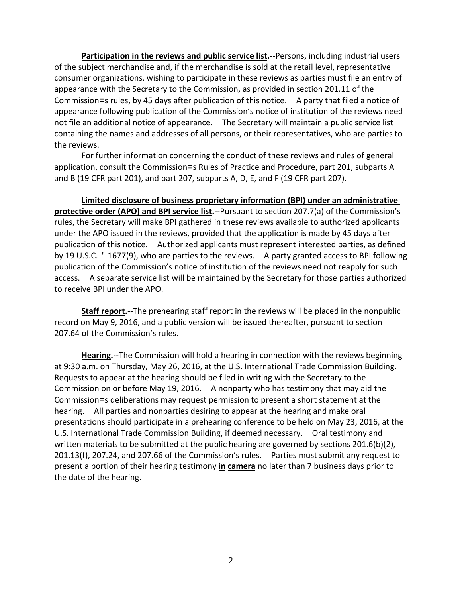**Participation in the reviews and public service list.**--Persons, including industrial users of the subject merchandise and, if the merchandise is sold at the retail level, representative consumer organizations, wishing to participate in these reviews as parties must file an entry of appearance with the Secretary to the Commission, as provided in section 201.11 of the Commission=s rules, by 45 days after publication of this notice. A party that filed a notice of appearance following publication of the Commission's notice of institution of the reviews need not file an additional notice of appearance. The Secretary will maintain a public service list containing the names and addresses of all persons, or their representatives, who are parties to the reviews.

For further information concerning the conduct of these reviews and rules of general application, consult the Commission=s Rules of Practice and Procedure, part 201, subparts A and B (19 CFR part 201), and part 207, subparts A, D, E, and F (19 CFR part 207).

**Limited disclosure of business proprietary information (BPI) under an administrative protective order (APO) and BPI service list.**--Pursuant to section 207.7(a) of the Commission's rules, the Secretary will make BPI gathered in these reviews available to authorized applicants under the APO issued in the reviews, provided that the application is made by 45 days after publication of this notice. Authorized applicants must represent interested parties, as defined by 19 U.S.C. ' 1677(9), who are parties to the reviews. A party granted access to BPI following publication of the Commission's notice of institution of the reviews need not reapply for such access. A separate service list will be maintained by the Secretary for those parties authorized to receive BPI under the APO.

**Staff report.**--The prehearing staff report in the reviews will be placed in the nonpublic record on May 9, 2016, and a public version will be issued thereafter, pursuant to section 207.64 of the Commission's rules.

**Hearing.**--The Commission will hold a hearing in connection with the reviews beginning at 9:30 a.m. on Thursday, May 26, 2016, at the U.S. International Trade Commission Building. Requests to appear at the hearing should be filed in writing with the Secretary to the Commission on or before May 19, 2016. A nonparty who has testimony that may aid the Commission=s deliberations may request permission to present a short statement at the hearing. All parties and nonparties desiring to appear at the hearing and make oral presentations should participate in a prehearing conference to be held on May 23, 2016, at the U.S. International Trade Commission Building, if deemed necessary. Oral testimony and written materials to be submitted at the public hearing are governed by sections 201.6(b)(2), 201.13(f), 207.24, and 207.66 of the Commission's rules. Parties must submit any request to present a portion of their hearing testimony **in camera** no later than 7 business days prior to the date of the hearing.